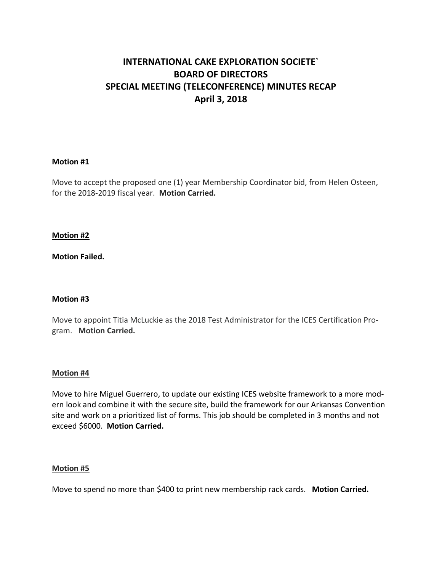# **INTERNATIONAL CAKE EXPLORATION SOCIETE` BOARD OF DIRECTORS SPECIAL MEETING (TELECONFERENCE) MINUTES RECAP April 3, 2018**

# **Motion #1**

Move to accept the proposed one (1) year Membership Coordinator bid, from Helen Osteen, for the 2018-2019 fiscal year. **Motion Carried.**

# **Motion #2**

**Motion Failed.**

# **Motion #3**

Move to appoint Titia McLuckie as the 2018 Test Administrator for the ICES Certification Program. **Motion Carried.**

# **Motion #4**

Move to hire Miguel Guerrero, to update our existing ICES website framework to a more modern look and combine it with the secure site, build the framework for our Arkansas Convention site and work on a prioritized list of forms. This job should be completed in 3 months and not exceed \$6000. **Motion Carried.**

#### **Motion #5**

Move to spend no more than \$400 to print new membership rack cards. **Motion Carried.**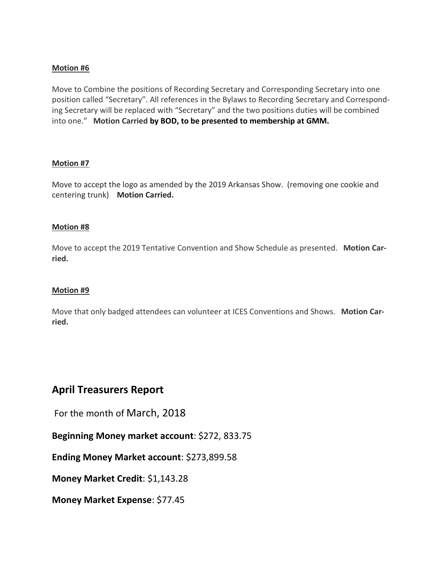# **Motion #6**

Move to Combine the positions of Recording Secretary and Corresponding Secretary into one position called "Secretary". All references in the Bylaws to Recording Secretary and Corresponding Secretary will be replaced with "Secretary" and the two positions duties will be combined into one." **Motion Carried by BOD, to be presented to membership at GMM.**

# **Motion #7**

Move to accept the logo as amended by the 2019 Arkansas Show. (removing one cookie and centering trunk) **Motion Carried.**

# **Motion #8**

Move to accept the 2019 Tentative Convention and Show Schedule as presented. **Motion Carried.**

# **Motion #9**

Move that only badged attendees can volunteer at ICES Conventions and Shows. **Motion Carried.**

# **April Treasurers Report**

For the month of March, 2018

**Beginning Money market account**: \$272, 833.75

**Ending Money Market account**: \$273,899.58

**Money Market Credit**: \$1,143.28

**Money Market Expense**: \$77.45